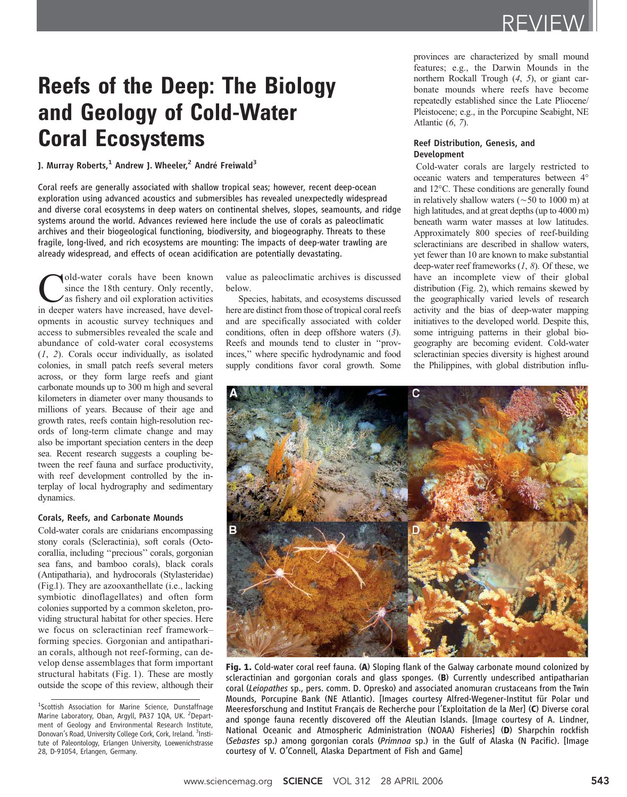# Reefs of the Deep: The Biology and Geology of Cold-Water Coral Ecosystems

J. Murray Roberts,<sup>1</sup> Andrew J. Wheeler,<sup>2</sup> André Freiwald<sup>3</sup>

Coral reefs are generally associated with shallow tropical seas; however, recent deep-ocean exploration using advanced acoustics and submersibles has revealed unexpectedly widespread and diverse coral ecosystems in deep waters on continental shelves, slopes, seamounts, and ridge systems around the world. Advances reviewed here include the use of corals as paleoclimatic archives and their biogeological functioning, biodiversity, and biogeography. Threats to these fragile, long-lived, and rich ecosystems are mounting: The impacts of deep-water trawling are already widespread, and effects of ocean acidification are potentially devastating.

Cold-water corals have been known<br>since the 18th century. Only recently,<br>as fishery and oil exploration activities<br>in deener waters have increased have develsince the 18th century. Only recently, as fishery and oil exploration activities in deeper waters have increased, have developments in acoustic survey techniques and access to submersibles revealed the scale and abundance of cold-water coral ecosystems (1, 2). Corals occur individually, as isolated colonies, in small patch reefs several meters across, or they form large reefs and giant carbonate mounds up to 300 m high and several kilometers in diameter over many thousands to millions of years. Because of their age and growth rates, reefs contain high-resolution records of long-term climate change and may also be important speciation centers in the deep sea. Recent research suggests a coupling between the reef fauna and surface productivity, with reef development controlled by the interplay of local hydrography and sedimentary dynamics.

## Corals, Reefs, and Carbonate Mounds

Cold-water corals are cnidarians encompassing stony corals (Scleractinia), soft corals (Octocorallia, including ''precious'' corals, gorgonian sea fans, and bamboo corals), black corals (Antipatharia), and hydrocorals (Stylasteridae) (Fig.1). They are azooxanthellate (i.e., lacking symbiotic dinoflagellates) and often form colonies supported by a common skeleton, providing structural habitat for other species. Here we focus on scleractinian reef framework– forming species. Gorgonian and antipatharian corals, although not reef-forming, can develop dense assemblages that form important structural habitats (Fig. 1). These are mostly outside the scope of this review, although their value as paleoclimatic archives is discussed below.

Species, habitats, and ecosystems discussed here are distinct from those of tropical coral reefs and are specifically associated with colder conditions, often in deep offshore waters (3). Reefs and mounds tend to cluster in ''provinces,'' where specific hydrodynamic and food supply conditions favor coral growth. Some provinces are characterized by small mound features; e.g., the Darwin Mounds in the northern Rockall Trough (4, 5), or giant carbonate mounds where reefs have become repeatedly established since the Late Pliocene/ Pleistocene; e.g., in the Porcupine Seabight, NE Atlantic (6, 7).

# Reef Distribution, Genesis, and Development

Cold-water corals are largely restricted to oceanic waters and temperatures between 4° and 12°C. These conditions are generally found in relatively shallow waters ( $\sim$  50 to 1000 m) at high latitudes, and at great depths (up to 4000 m) beneath warm water masses at low latitudes. Approximately 800 species of reef-building scleractinians are described in shallow waters, yet fewer than 10 are known to make substantial deep-water reef frameworks  $(1, 8)$ . Of these, we have an incomplete view of their global distribution (Fig. 2), which remains skewed by the geographically varied levels of research activity and the bias of deep-water mapping initiatives to the developed world. Despite this, some intriguing patterns in their global biogeography are becoming evident. Cold-water scleractinian species diversity is highest around the Philippines, with global distribution influ-



Fig. 1. Cold-water coral reef fauna. (A) Sloping flank of the Galway carbonate mound colonized by scleractinian and gorgonian corals and glass sponges. (B) Currently undescribed antipatharian coral (Leiopathes sp., pers. comm. D. Opresko) and associated anomuran crustaceans from the Twin Mounds, Porcupine Bank (NE Atlantic). [Images courtesy Alfred-Wegener-Institut für Polar und Meeresforschung and Institut Français de Recherche pour l'Exploitation de la Mer] (C) Diverse coral and sponge fauna recently discovered off the Aleutian Islands. [Image courtesy of A. Lindner, National Oceanic and Atmospheric Administration (NOAA) Fisheries] (D) Sharpchin rockfish (Sebastes sp.) among gorgonian corals (Primnoa sp.) in the Gulf of Alaska (N Pacific). [Image courtesy of V. O'Connell, Alaska Department of Fish and Game]

<sup>&</sup>lt;sup>1</sup>Scottish Association for Marine Science, Dunstaffnage Marine Laboratory, Oban, Argyll, PA37 1QA, UK. <sup>2</sup>Department of Geology and Environmental Research Institute, Donovan's Road, University College Cork, Cork, Ireland. <sup>3</sup>Institute of Paleontology, Erlangen University, Loewenichstrasse 28, D-91054, Erlangen, Germany.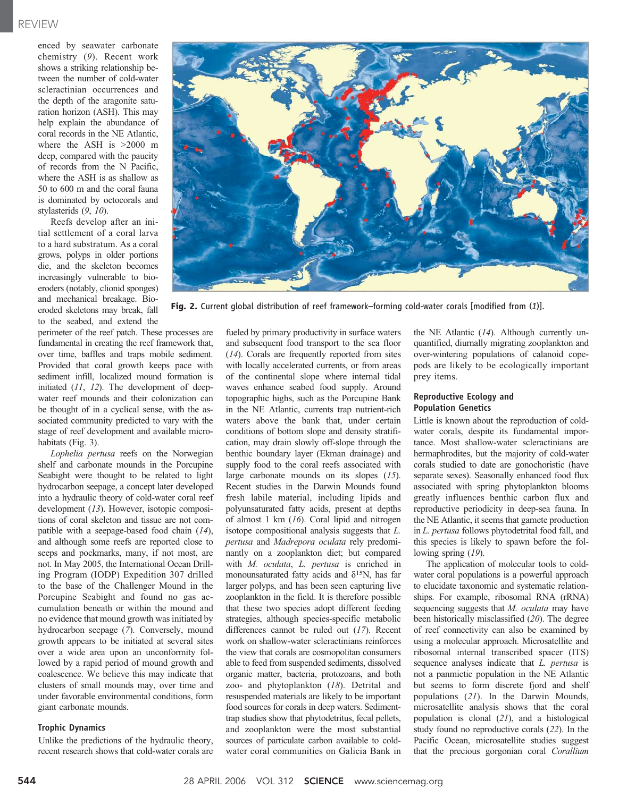enced by seawater carbonate chemistry (9). Recent work shows a striking relationship between the number of cold-water scleractinian occurrences and the depth of the aragonite saturation horizon (ASH). This may help explain the abundance of coral records in the NE Atlantic, where the ASH is  $>2000$  m deep, compared with the paucity of records from the N Pacific, where the ASH is as shallow as 50 to 600 m and the coral fauna is dominated by octocorals and stylasterids (9, 10).

Reefs develop after an initial settlement of a coral larva to a hard substratum. As a coral grows, polyps in older portions die, and the skeleton becomes increasingly vulnerable to bioeroders (notably, clionid sponges) and mechanical breakage. Bioeroded skeletons may break, fall to the seabed, and extend the

perimeter of the reef patch. These processes are fundamental in creating the reef framework that, over time, baffles and traps mobile sediment. Provided that coral growth keeps pace with sediment infill, localized mound formation is initiated (11, 12). The development of deepwater reef mounds and their colonization can be thought of in a cyclical sense, with the associated community predicted to vary with the stage of reef development and available microhabitats (Fig. 3).

Lophelia pertusa reefs on the Norwegian shelf and carbonate mounds in the Porcupine Seabight were thought to be related to light hydrocarbon seepage, a concept later developed into a hydraulic theory of cold-water coral reef development (13). However, isotopic compositions of coral skeleton and tissue are not compatible with a seepage-based food chain (14), and although some reefs are reported close to seeps and pockmarks, many, if not most, are not. In May 2005, the International Ocean Drilling Program (IODP) Expedition 307 drilled to the base of the Challenger Mound in the Porcupine Seabight and found no gas accumulation beneath or within the mound and no evidence that mound growth was initiated by hydrocarbon seepage (7). Conversely, mound growth appears to be initiated at several sites over a wide area upon an unconformity followed by a rapid period of mound growth and coalescence. We believe this may indicate that clusters of small mounds may, over time and under favorable environmental conditions, form giant carbonate mounds.

#### Trophic Dynamics

Unlike the predictions of the hydraulic theory, recent research shows that cold-water corals are



Fig. 2. Current global distribution of reef framework–forming cold-water corals [modified from (1)].

fueled by primary productivity in surface waters and subsequent food transport to the sea floor (14). Corals are frequently reported from sites with locally accelerated currents, or from areas of the continental slope where internal tidal waves enhance seabed food supply. Around topographic highs, such as the Porcupine Bank in the NE Atlantic, currents trap nutrient-rich waters above the bank that, under certain conditions of bottom slope and density stratification, may drain slowly off-slope through the benthic boundary layer (Ekman drainage) and supply food to the coral reefs associated with large carbonate mounds on its slopes (15). Recent studies in the Darwin Mounds found fresh labile material, including lipids and polyunsaturated fatty acids, present at depths of almost 1 km  $(16)$ . Coral lipid and nitrogen isotope compositional analysis suggests that L. pertusa and Madrepora oculata rely predominantly on a zooplankton diet; but compared with M. oculata, L. pertusa is enriched in monounsaturated fatty acids and *d*15N, has far larger polyps, and has been seen capturing live zooplankton in the field. It is therefore possible that these two species adopt different feeding strategies, although species-specific metabolic differences cannot be ruled out (17). Recent work on shallow-water scleractinians reinforces the view that corals are cosmopolitan consumers able to feed from suspended sediments, dissolved organic matter, bacteria, protozoans, and both zoo- and phytoplankton (18). Detrital and resuspended materials are likely to be important food sources for corals in deep waters. Sedimenttrap studies show that phytodetritus, fecal pellets, and zooplankton were the most substantial sources of particulate carbon available to coldwater coral communities on Galicia Bank in

the NE Atlantic  $(14)$ . Although currently unquantified, diurnally migrating zooplankton and over-wintering populations of calanoid copepods are likely to be ecologically important prey items.

# Reproductive Ecology and Population Genetics

Little is known about the reproduction of coldwater corals, despite its fundamental importance. Most shallow-water scleractinians are hermaphrodites, but the majority of cold-water corals studied to date are gonochoristic (have separate sexes). Seasonally enhanced food flux associated with spring phytoplankton blooms greatly influences benthic carbon flux and reproductive periodicity in deep-sea fauna. In the NE Atlantic, it seems that gamete production in L. pertusa follows phytodetrital food fall, and this species is likely to spawn before the following spring  $(19)$ .

The application of molecular tools to coldwater coral populations is a powerful approach to elucidate taxonomic and systematic relationships. For example, ribosomal RNA (rRNA) sequencing suggests that *M. oculata* may have been historically misclassified (20). The degree of reef connectivity can also be examined by using a molecular approach. Microsatellite and ribosomal internal transcribed spacer (ITS) sequence analyses indicate that *L. pertusa* is not a panmictic population in the NE Atlantic but seems to form discrete fjord and shelf populations (21). In the Darwin Mounds, microsatellite analysis shows that the coral population is clonal (21), and a histological study found no reproductive corals (22). In the Pacific Ocean, microsatellite studies suggest that the precious gorgonian coral Corallium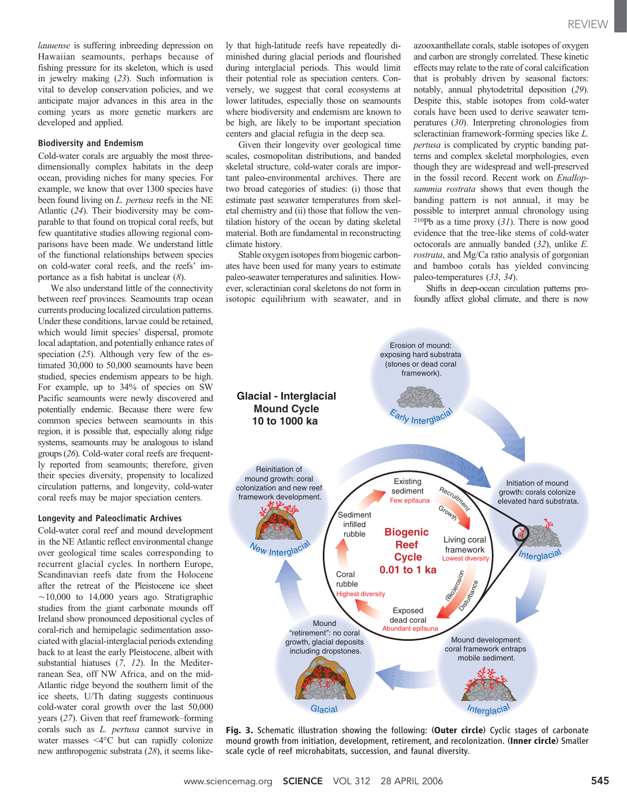lauuense is suffering inbreeding depression on Hawaiian seamounts, perhaps because of fishing pressure for its skeleton, which is used in jewelry making (23). Such information is vital to develop conservation policies, and we anticipate major advances in this area in the coming years as more genetic markers are developed and applied.

### Biodiversity and Endemism

Cold-water corals are arguably the most threedimensionally complex habitats in the deep ocean, providing niches for many species. For example, we know that over 1300 species have been found living on L. pertusa reefs in the NE Atlantic (24). Their biodiversity may be comparable to that found on tropical coral reefs, but few quantitative studies allowing regional comparisons have been made. We understand little of the functional relationships between species on cold-water coral reefs, and the reefs' importance as a fish habitat is unclear (8).

We also understand little of the connectivity between reef provinces. Seamounts trap ocean currents producing localized circulation patterns. Under these conditions, larvae could be retained, which would limit species' dispersal, promote local adaptation, and potentially enhance rates of speciation (25). Although very few of the estimated 30,000 to 50,000 seamounts have been studied, species endemism appears to be high. For example, up to 34% of species on SW Pacific seamounts were newly discovered and potentially endemic. Because there were few common species between seamounts in this region, it is possible that, especially along ridge systems, seamounts may be analogous to island groups (26). Cold-water coral reefs are frequently reported from seamounts; therefore, given their species diversity, propensity to localized circulation patterns, and longevity, cold-water coral reefs may be major speciation centers.

#### Longevity and Paleoclimatic Archives

Cold-water coral reef and mound development in the NE Atlantic reflect environmental change over geological time scales corresponding to recurrent glacial cycles. In northern Europe, Scandinavian reefs date from the Holocene after the retreat of the Pleistocene ice sheet  $\sim$ 10,000 to 14,000 years ago. Stratigraphic studies from the giant carbonate mounds off Ireland show pronounced depositional cycles of coral-rich and hemipelagic sedimentation associated with glacial-interglacial periods extending back to at least the early Pleistocene, albeit with substantial hiatuses (7, 12). In the Mediterranean Sea, off NW Africa, and on the mid-Atlantic ridge beyond the southern limit of the ice sheets, U/Th dating suggests continuous cold-water coral growth over the last 50,000 years (27). Given that reef framework–forming corals such as L. pertusa cannot survive in water masses  $\leq 4^{\circ}$ C but can rapidly colonize new anthropogenic substrata (28), it seems likely that high-latitude reefs have repeatedly diminished during glacial periods and flourished during interglacial periods. This would limit their potential role as speciation centers. Conversely, we suggest that coral ecosystems at lower latitudes, especially those on seamounts where biodiversity and endemism are known to be high, are likely to be important speciation centers and glacial refugia in the deep sea.

Given their longevity over geological time scales, cosmopolitan distributions, and banded skeletal structure, cold-water corals are important paleo-environmental archives. There are two broad categories of studies: (i) those that estimate past seawater temperatures from skeletal chemistry and (ii) those that follow the ventilation history of the ocean by dating skeletal material. Both are fundamental in reconstructing climate history.

Stable oxygen isotopes from biogenic carbonates have been used for many years to estimate paleo-seawater temperatures and salinities. However, scleractinian coral skeletons do not form in isotopic equilibrium with seawater, and in

azooxanthellate corals, stable isotopes of oxygen and carbon are strongly correlated. These kinetic effects may relate to the rate of coral calcification that is probably driven by seasonal factors: notably, annual phytodetrital deposition (29). Despite this, stable isotopes from cold-water corals have been used to derive seawater temperatures (30). Interpreting chronologies from scleractinian framework-forming species like L. pertusa is complicated by cryptic banding patterns and complex skeletal morphologies, even though they are widespread and well-preserved in the fossil record. Recent work on Enallopsammia rostrata shows that even though the banding pattern is not annual, it may be possible to interpret annual chronology using  $210Pb$  as a time proxy (31). There is now good evidence that the tree-like stems of cold-water octocorals are annually banded (32), unlike E. rostrata, and Mg/Ca ratio analysis of gorgonian and bamboo corals has yielded convincing paleo-temperatures (33, 34).

Shifts in deep-ocean circulation patterns profoundly affect global climate, and there is now



Fig. 3. Schematic illustration showing the following: (Outer circle) Cyclic stages of carbonate mound growth from initiation, development, retirement, and recolonization. (Inner circle) Smaller scale cycle of reef microhabitats, succession, and faunal diversity.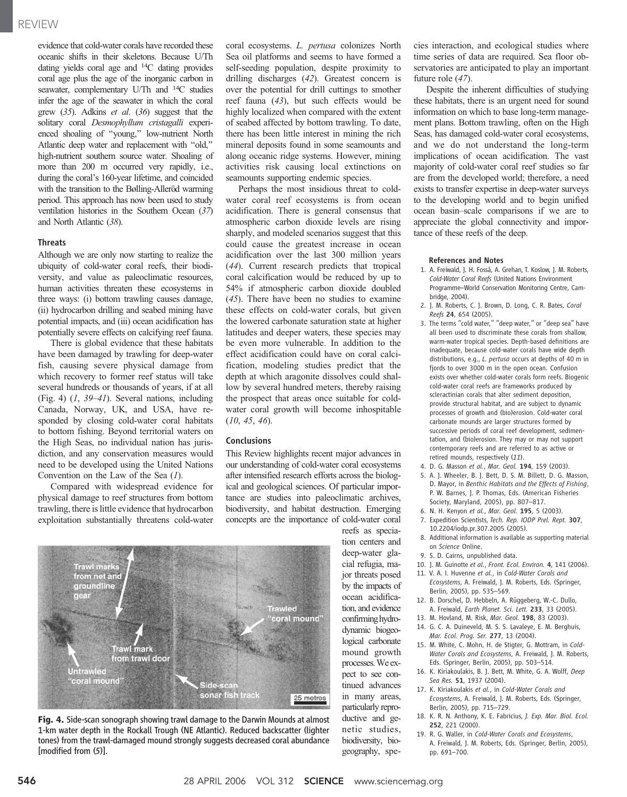# REVIEW

evidence that cold-water corals have recorded these oceanic shifts in their skeletons. Because U/Th dating yields coral age and 14C dating provides coral age plus the age of the inorganic carbon in seawater, complementary U/Th and 14C studies infer the age of the seawater in which the coral grew (35). Adkins et al. (36) suggest that the solitary coral Desmophyllum cristagalli experienced shoaling of ''young,'' low-nutrient North Atlantic deep water and replacement with ''old,'' high-nutrient southern source water. Shoaling of more than 200 m occurred very rapidly, i.e., during the coral's 160-year lifetime, and coincided with the transition to the Bølling-Alleröd warming period. This approach has now been used to study ventilation histories in the Southern Ocean (37) and North Atlantic (38).

# **Threats**

Although we are only now starting to realize the ubiquity of cold-water coral reefs, their biodiversity, and value as paleoclimatic resources, human activities threaten these ecosystems in three ways: (i) bottom trawling causes damage, (ii) hydrocarbon drilling and seabed mining have potential impacts, and (iii) ocean acidification has potentially severe effects on calcifying reef fauna.

There is global evidence that these habitats have been damaged by trawling for deep-water fish, causing severe physical damage from which recovery to former reef status will take several hundreds or thousands of years, if at all (Fig. 4) (1, 39–41). Several nations, including Canada, Norway, UK, and USA, have responded by closing cold-water coral habitats to bottom fishing. Beyond territorial waters on the High Seas, no individual nation has jurisdiction, and any conservation measures would need to be developed using the United Nations Convention on the Law of the Sea (1).

Compared with widespread evidence for physical damage to reef structures from bottom trawling, there is little evidence that hydrocarbon exploitation substantially threatens cold-water

coral ecosystems. L. pertusa colonizes North Sea oil platforms and seems to have formed a self-seeding population, despite proximity to drilling discharges (42). Greatest concern is over the potential for drill cuttings to smother reef fauna (43), but such effects would be highly localized when compared with the extent of seabed affected by bottom trawling. To date, there has been little interest in mining the rich mineral deposits found in some seamounts and along oceanic ridge systems. However, mining activities risk causing local extinctions on seamounts supporting endemic species.

Perhaps the most insidious threat to coldwater coral reef ecosystems is from ocean acidification. There is general consensus that atmospheric carbon dioxide levels are rising sharply, and modeled scenarios suggest that this could cause the greatest increase in ocean acidification over the last 300 million years (44). Current research predicts that tropical coral calcification would be reduced by up to 54% if atmospheric carbon dioxide doubled (45). There have been no studies to examine these effects on cold-water corals, but given the lowered carbonate saturation state at higher latitudes and deeper waters, these species may be even more vulnerable. In addition to the effect acidification could have on coral calcification, modeling studies predict that the depth at which aragonite dissolves could shallow by several hundred meters, thereby raising the prospect that areas once suitable for coldwater coral growth will become inhospitable (10, 45, 46).

# Conclusions

This Review highlights recent major advances in our understanding of cold-water coral ecosystems after intensified research efforts across the biological and geological sciences. Of particular importance are studies into paleoclimatic archives, biodiversity, and habitat destruction. Emerging concepts are the importance of cold-water coral





reefs as speciation centers and deep-water glacial refugia, major threats posed by the impacts of ocean acidification, and evidence confirming hydrodynamic biogeological carbonate mound growth processes.We expect to see continued advances in many areas, particularly reproductive and genetic studies, biodiversity, biogeography, species interaction, and ecological studies where time series of data are required. Sea floor observatories are anticipated to play an important future role (47).

Despite the inherent difficulties of studying these habitats, there is an urgent need for sound information on which to base long-term management plans. Bottom trawling, often on the High Seas, has damaged cold-water coral ecosystems, and we do not understand the long-term implications of ocean acidification. The vast majority of cold-water coral reef studies so far are from the developed world; therefore, a need exists to transfer expertise in deep-water surveys to the developing world and to begin unified ocean basin–scale comparisons if we are to appreciate the global connectivity and importance of these reefs of the deep.

#### References and Notes

- 1. A. Freiwald, J. H. Fosså, A. Grehan, T. Koslow, J. M. Roberts, Cold-Water Coral Reefs (United Nations Environment Programme–World Conservation Monitoring Centre, Cambridge, 2004).
- 2. J. M. Roberts, C. J. Brown, D. Long, C. R. Bates, Coral Reefs 24, 654 (2005).
- 3. The terms "cold water," "deep water," or "deep sea" have all been used to discriminate these corals from shallow, warm-water tropical species. Depth-based definitions are inadequate, because cold-water corals have wide depth distributions, e.g., L. pertusa occurs at depths of 40 m in fjords to over 3000 m in the open ocean. Confusion exists over whether cold-water corals form reefs. Biogenic cold-water coral reefs are frameworks produced by scleractinian corals that alter sediment deposition, provide structural habitat, and are subject to dynamic processes of growth and (bio)erosion. Cold-water coral carbonate mounds are larger structures formed by successive periods of coral reef development, sedimentation, and (bio)erosion. They may or may not support contemporary reefs and are referred to as active or retired mounds, respectively (11).
- 4. D. G. Masson et al., Mar. Geol. 194. 159 (2003).
- 5. A. J. Wheeler, B. J. Bett, D. S. M. Billett, D. G. Masson, D. Mayor, in Benthic Habitats and the Effects of Fishing, P. W. Barnes, J. P. Thomas, Eds. (American Fisheries Society, Maryland, 2005), pp. 807–817.
- 6. N. H. Kenyon et al., Mar. Geol. 195, 5 (2003).
- 7. Expedition Scientists, Tech. Rep. IODP Prel. Rept. 307, 10.2204/iodp.pr.307.2005 (2005).
- 8. Additional information is available as supporting material on Science Online.
- 9. S. D. Cairns, unpublished data.
- 10. J. M. Guinotte et al., Front. Ecol. Environ. 4, 141 (2006).
- 11. V. A. I. Huvenne et al., in Cold-Water Corals and
- Ecosystems, A. Freiwald, J. M. Roberts, Eds. (Springer, Berlin, 2005), pp. 535–569.
- 12. B. Dorschel, D. Hebbeln, A. Rüggeberg, W.-C. Dullo, A. Freiwald, Earth Planet. Sci. Lett. 233, 33 (2005).
- 13. M. Hovland, M. Risk, Mar. Geol. 198, 83 (2003).
- 14. G. C. A. Duineveld, M. S. S. Lavaleye, E. M. Berghuis, Mar. Ecol. Prog. Ser. 277, 13 (2004).
- 15. M. White, C. Mohn, H. de Stigter, G. Mottram, in Cold-Water Corals and Ecosystems, A. Freiwald, J. M. Roberts, Eds. (Springer, Berlin, 2005), pp. 503–514.
- 16. K. Kiriakoulakis, B. J. Bett, M. White, G. A. Wolff, Deep Sea Res. **51**, 1937 (2004).
- 17. K. Kiriakoulakis et al., in Cold-Water Corals and Ecosystems, A. Freiwald, J. M. Roberts, Eds. (Springer, Berlin, 2005), pp. 715–729.
- 18. K. R. N. Anthony, K. E. Fabricius, J. Exp. Mar. Biol. Ecol. 252, 221 (2000).
- 19. R. G. Waller, in Cold-Water Corals and Ecosystems, A. Freiwald, J. M. Roberts, Eds. (Springer, Berlin, 2005), pp. 691–700.